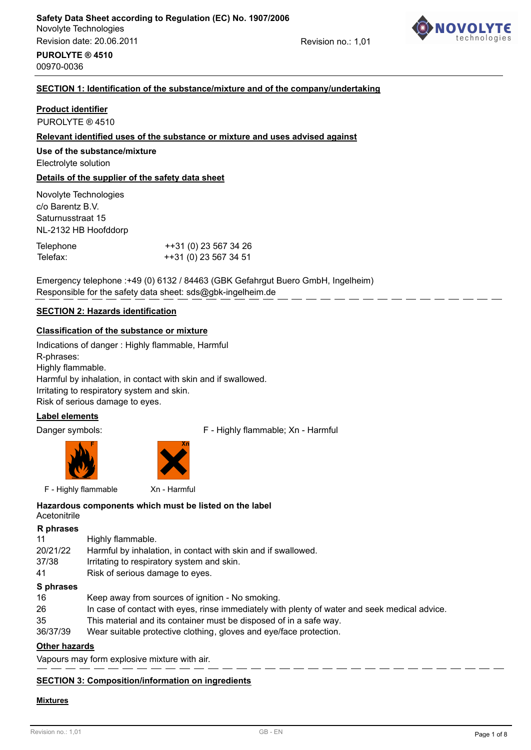

Revision no.: 1,01

# **PUROLYTE ® 4510** 00970-0036

# **SECTION 1: Identification of the substance/mixture and of the company/undertaking**

# **Product identifier**

PUROLYTE ® 4510

# **Relevant identified uses of the substance or mixture and uses advised against**

# **Use of the substance/mixture**

Electrolyte solution

# **Details of the supplier of the safety data sheet**

Novolyte Technologies c/o Barentz B.V. Saturnusstraat 15 NL-2132 HB Hoofddorp

| Telephone | ++31 (0) 23 567 34 26 |
|-----------|-----------------------|
| Telefax:  | ++31 (0) 23 567 34 51 |

Emergency telephone :+49 (0) 6132 / 84463 (GBK Gefahrgut Buero GmbH, Ingelheim) Responsible for the safety data sheet: sds@gbk-ingelheim.de

# **SECTION 2: Hazards identification**

# **Classification of the substance or mixture**

Indications of danger : Highly flammable, Harmful R-phrases: Highly flammable. Harmful by inhalation, in contact with skin and if swallowed. Irritating to respiratory system and skin. Risk of serious damage to eyes.

# **Label elements**

Danger symbols: F - Highly flammable; Xn - Harmful





F - Highly flammable Xn - Harmful

#### **Acetonitrile Hazardous components which must be listed on the label**

| R phrases |                                                               |
|-----------|---------------------------------------------------------------|
| 11        | Highly flammable.                                             |
| 20/21/22  | Harmful by inhalation, in contact with skin and if swallowed. |
| 37/38     | Irritating to respiratory system and skin.                    |
| 41        | Risk of serious damage to eyes.                               |
| S phrases |                                                               |

- 16 Keep away from sources of ignition No smoking. 26 In case of contact with eyes, rinse immediately with plenty of water and seek medical advice.
- 35 This material and its container must be disposed of in a safe way.
- 36/37/39 Wear suitable protective clothing, gloves and eye/face protection.

# **Other hazards**

Vapours may form explosive mixture with air.

# **SECTION 3: Composition/information on ingredients**

# **Mixtures**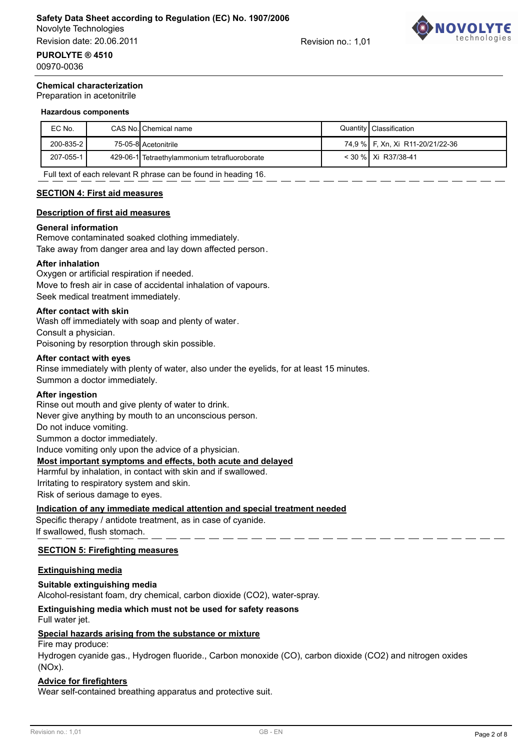Revision date: 20.06.2011

Revision no.: 1,01



00970-0036

#### **Chemical characterization**

Preparation in acetonitrile

#### **Hazardous components**

| EC No.    | CAS No. Chemical name                         | Quantity   Classification        |
|-----------|-----------------------------------------------|----------------------------------|
| 200-835-2 | 75-05-8 Acetonitrile                          | 74,9 % F, Xn, Xi R11-20/21/22-36 |
| 207-055-1 | 429-06-1 Tetraethylammonium tetrafluoroborate | < 30 % Xi R37/38-41              |

Full text of each relevant R phrase can be found in heading 16.

#### **SECTION 4: First aid measures**

#### **Description of first aid measures**

#### **General information**

Remove contaminated soaked clothing immediately. Take away from danger area and lay down affected person.

#### **After inhalation**

Oxygen or artificial respiration if needed. Move to fresh air in case of accidental inhalation of vapours. Seek medical treatment immediately.

#### **After contact with skin**

Wash off immediately with soap and plenty of water. Consult a physician. Poisoning by resorption through skin possible.

#### **After contact with eyes**

Rinse immediately with plenty of water, also under the eyelids, for at least 15 minutes. Summon a doctor immediately.

#### **After ingestion**

Rinse out mouth and give plenty of water to drink. Never give anything by mouth to an unconscious person.

Do not induce vomiting.

Summon a doctor immediately.

Induce vomiting only upon the advice of a physician.

#### **Most important symptoms and effects, both acute and delayed**

Harmful by inhalation, in contact with skin and if swallowed. Irritating to respiratory system and skin.

Risk of serious damage to eyes.

#### **Indication of any immediate medical attention and special treatment needed**

Specific therapy / antidote treatment, as in case of cyanide. If swallowed, flush stomach.

#### **SECTION 5: Firefighting measures**

#### **Extinguishing media**

#### **Suitable extinguishing media**

Alcohol-resistant foam, dry chemical, carbon dioxide (CO2), water-spray.

# **Extinguishing media which must not be used for safety reasons**

# Full water jet.

#### **Special hazards arising from the substance or mixture**

Fire may produce:

Hydrogen cyanide gas., Hydrogen fluoride., Carbon monoxide (CO), carbon dioxide (CO2) and nitrogen oxides (NOx).

#### **Advice for firefighters**

Wear self-contained breathing apparatus and protective suit.

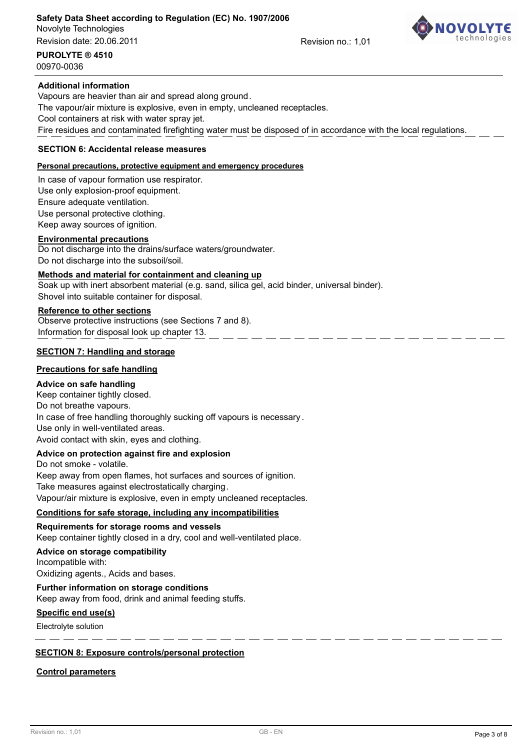#### Novolyte Technologies **Safety Data Sheet according to Regulation (EC) No. 1907/2006**

Revision date: 20.06.2011

Revision no.: 1,01



**PUROLYTE ® 4510**

# 00970-0036

#### **Additional information**

Vapours are heavier than air and spread along ground. The vapour/air mixture is explosive, even in empty, uncleaned receptacles. Cool containers at risk with water spray jet. Fire residues and contaminated firefighting water must be disposed of in accordance with the local regulations.

#### **SECTION 6: Accidental release measures**

#### **Personal precautions, protective equipment and emergency procedures**

In case of vapour formation use respirator.

Use only explosion-proof equipment.

Ensure adequate ventilation.

Use personal protective clothing.

Keep away sources of ignition.

#### **Environmental precautions**

Do not discharge into the drains/surface waters/groundwater.

Do not discharge into the subsoil/soil.

### **Methods and material for containment and cleaning up**

Soak up with inert absorbent material (e.g. sand, silica gel, acid binder, universal binder). Shovel into suitable container for disposal.

### **Reference to other sections**

Observe protective instructions (see Sections 7 and 8). Information for disposal look up chapter 13.

#### **SECTION 7: Handling and storage**

#### **Precautions for safe handling**

#### **Advice on safe handling**

Keep container tightly closed. Do not breathe vapours. In case of free handling thoroughly sucking off vapours is necessary. Use only in well-ventilated areas. Avoid contact with skin, eyes and clothing.

#### **Advice on protection against fire and explosion**

Do not smoke - volatile. Keep away from open flames, hot surfaces and sources of ignition. Take measures against electrostatically charging. Vapour/air mixture is explosive, even in empty uncleaned receptacles.

#### **Conditions for safe storage, including any incompatibilities**

#### **Requirements for storage rooms and vessels**

Keep container tightly closed in a dry, cool and well-ventilated place.

#### **Advice on storage compatibility**

Incompatible with:

Oxidizing agents., Acids and bases.

#### **Further information on storage conditions**

Keep away from food, drink and animal feeding stuffs.

#### **Specific end use(s)**

Electrolyte solution

#### **SECTION 8: Exposure controls/personal protection**

#### **Control parameters**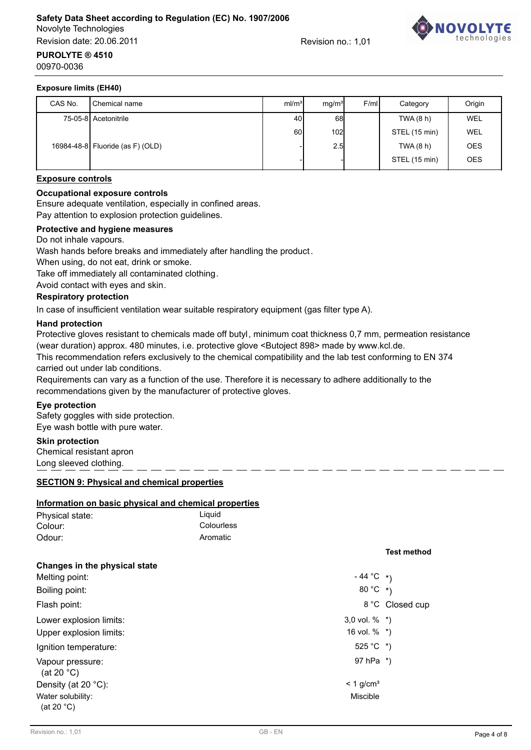# Novolyte Technologies **Safety Data Sheet according to Regulation (EC) No. 1907/2006**

Revision date: 20.06.2011

Revision no.: 1,01



#### **Exposure limits (EH40)**

**PUROLYTE ® 4510**

00970-0036

| CAS No. | Chemical name                    | ml/m <sup>3</sup> | mq/m <sup>3</sup> | F/ml | Category      | Origin     |
|---------|----------------------------------|-------------------|-------------------|------|---------------|------------|
|         | 75-05-8 Acetonitrile             | 40                | 68                |      | TWA (8 h)     | WEL        |
|         |                                  | 60                | 102               |      | STEL (15 min) | WEL        |
|         | 16984-48-8 Fluoride (as F) (OLD) |                   | 2.5               |      | TWA(8 h)      | <b>OES</b> |
|         |                                  |                   |                   |      | STEL (15 min) | <b>OES</b> |

#### **Exposure controls**

#### **Occupational exposure controls**

Ensure adequate ventilation, especially in confined areas.

Pay attention to explosion protection guidelines.

#### **Protective and hygiene measures**

Do not inhale vapours.

Wash hands before breaks and immediately after handling the product.

When using, do not eat, drink or smoke.

Take off immediately all contaminated clothing.

Avoid contact with eyes and skin.

#### **Respiratory protection**

In case of insufficient ventilation wear suitable respiratory equipment (gas filter type A).

#### **Hand protection**

Protective gloves resistant to chemicals made off butyl, minimum coat thickness 0,7 mm, permeation resistance (wear duration) approx. 480 minutes, i.e. protective glove <Butoject 898> made by www.kcl.de.

. \_\_ \_\_ \_\_ \_\_ \_\_ \_\_

This recommendation refers exclusively to the chemical compatibility and the lab test conforming to EN 374 carried out under lab conditions.

Requirements can vary as a function of the use. Therefore it is necessary to adhere additionally to the recommendations given by the manufacturer of protective gloves.

#### **Eye protection**

Safety goggles with side protection. Eye wash bottle with pure water.

#### **Skin protection**

Chemical resistant apron Long sleeved clothing.

#### **SECTION 9: Physical and chemical properties**

#### **Information on basic physical and chemical properties**

| Physical state: | Liauid     |
|-----------------|------------|
| Colour:         | Colourless |
| Odour:          | Aromatic   |

#### **Test method**

| Changes in the physical state            |                         |                 |
|------------------------------------------|-------------------------|-----------------|
| Melting point:                           | $-44 °C$ *)             |                 |
| Boiling point:                           | 80 °C $*$               |                 |
| Flash point:                             |                         | 8 °C Closed cup |
| Lower explosion limits:                  | 3,0 vol. $\%$ *)        |                 |
| Upper explosion limits:                  | 16 vol. $%$ *)          |                 |
| Ignition temperature:                    | 525 °C $*$ )            |                 |
| Vapour pressure:<br>(at 20 $^{\circ}$ C) | 97 hPa *)               |                 |
| Density (at 20 $°C$ ):                   | $< 1$ g/cm <sup>3</sup> |                 |
| Water solubility:<br>(at 20 $°C$ )       | Miscible                |                 |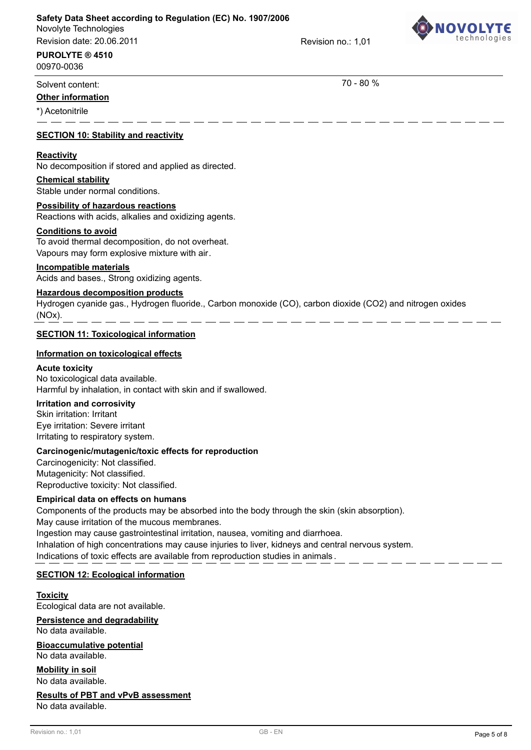# **Safety Data Sheet according to Regulation (EC) No. 1907/2006**

Novolyte Technologies Revision date: 20.06.2011

Revision no.: 1,01



# **PUROLYTE ® 4510**

00970-0036

# Solvent content: 70 - 80 %

### **Other information**

\*) Acetonitrile

#### **SECTION 10: Stability and reactivity**

#### **Reactivity**

No decomposition if stored and applied as directed.

#### **Chemical stability**

Stable under normal conditions.

**Possibility of hazardous reactions** Reactions with acids, alkalies and oxidizing agents.

#### **Conditions to avoid**

To avoid thermal decomposition, do not overheat. Vapours may form explosive mixture with air.

#### **Incompatible materials**

Acids and bases., Strong oxidizing agents.

#### **Hazardous decomposition products**

Hydrogen cyanide gas., Hydrogen fluoride., Carbon monoxide (CO), carbon dioxide (CO2) and nitrogen oxides (NOx).

#### **SECTION 11: Toxicological information**

#### **Information on toxicological effects**

#### **Acute toxicity**

No toxicological data available. Harmful by inhalation, in contact with skin and if swallowed.

### **Irritation and corrosivity**

Skin irritation: Irritant Eye irritation: Severe irritant Irritating to respiratory system.

#### **Carcinogenic/mutagenic/toxic effects for reproduction**

Carcinogenicity: Not classified. Mutagenicity: Not classified. Reproductive toxicity: Not classified.

#### **Empirical data on effects on humans**

Components of the products may be absorbed into the body through the skin (skin absorption). May cause irritation of the mucous membranes. Ingestion may cause gastrointestinal irritation, nausea, vomiting and diarrhoea. Inhalation of high concentrations may cause injuries to liver, kidneys and central nervous system. Indications of toxic effects are available from reproduction studies in animals .

#### **SECTION 12: Ecological information**

#### Ecological data are not available. **Toxicity**

**Persistence and degradability**

No data available.

# **Bioaccumulative potential**

No data available.

No data available. **Mobility in soil**

# **Results of PBT and vPvB assessment**

No data available.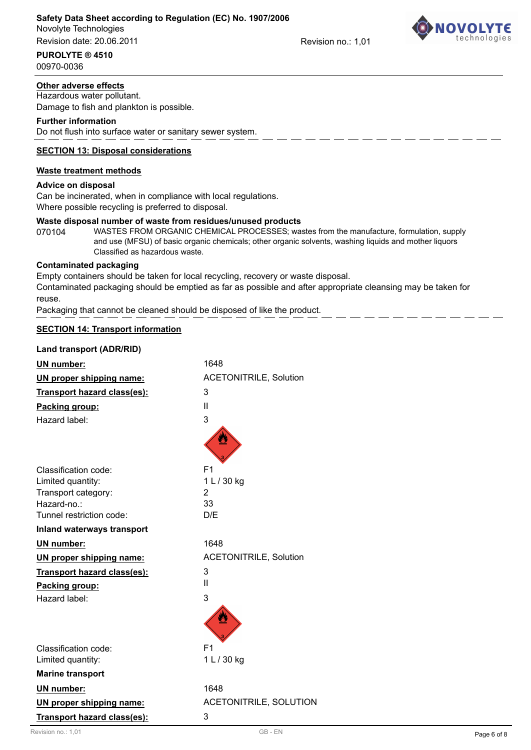### **Safety Data Sheet according to Regulation (EC) No. 1907/2006**

Novolyte Technologies Revision date: 20.06.2011

**PUROLYTE ® 4510**

00970-0036

# **Other adverse effects**

Hazardous water pollutant. Damage to fish and plankton is possible.

#### **Further information**

Do not flush into surface water or sanitary sewer system.

### **SECTION 13: Disposal considerations**

### **Waste treatment methods**

#### **Advice on disposal**

Can be incinerated, when in compliance with local regulations. Where possible recycling is preferred to disposal.

#### **Waste disposal number of waste from residues/unused products**

070104 WASTES FROM ORGANIC CHEMICAL PROCESSES; wastes from the manufacture, formulation, supply and use (MFSU) of basic organic chemicals; other organic solvents, washing liquids and mother liquors Classified as hazardous waste.

#### **Contaminated packaging**

Empty containers should be taken for local recycling, recovery or waste disposal.

Contaminated packaging should be emptied as far as possible and after appropriate cleansing may be taken for reuse.

Packaging that cannot be cleaned should be disposed of like the product.

#### **SECTION 14: Transport information**

| Land transport (ADR/RID)    |                               |
|-----------------------------|-------------------------------|
| <b>UN number:</b>           | 1648                          |
| UN proper shipping name:    | <b>ACETONITRILE, Solution</b> |
| Transport hazard class(es): | 3                             |
| Packing group:              | Ш                             |
| Hazard label:               | 3                             |
|                             |                               |
| Classification code:        | F <sub>1</sub>                |
| Limited quantity:           | 1 L / 30 kg                   |
| Transport category:         | 2                             |
| Hazard-no.:                 | 33                            |
| Tunnel restriction code:    | D/E                           |
| Inland waterways transport  |                               |
| <b>UN number:</b>           | 1648                          |
| UN proper shipping name:    | <b>ACETONITRILE, Solution</b> |
| Transport hazard class(es): | 3                             |
| Packing group:              | Ш                             |
| Hazard label:               | 3                             |
|                             |                               |
| Classification code:        | F <sub>1</sub>                |
| Limited quantity:           | 1 L / 30 kg                   |
| <b>Marine transport</b>     |                               |
| <b>UN number:</b>           | 1648                          |
| UN proper shipping name:    | <b>ACETONITRILE, SOLUTION</b> |
| Transport hazard class(es): | 3                             |



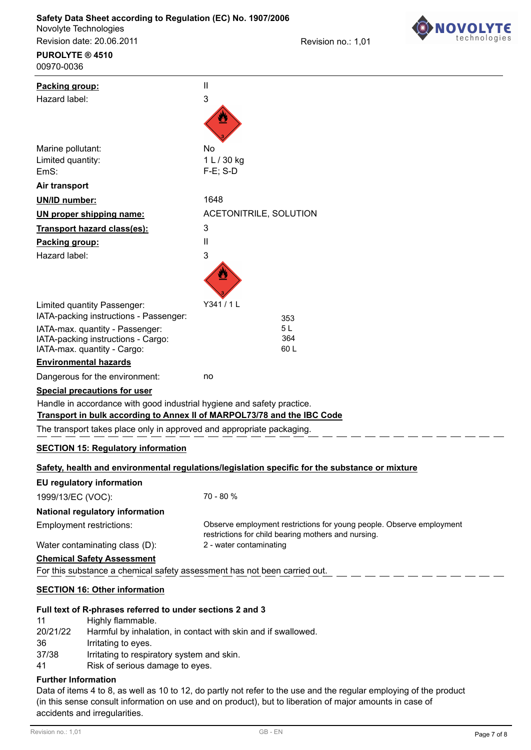**PUROLYTE ® 4510**

Revision no.: 1,01



| 00970-0036                                                                                                     |                                                                                                |
|----------------------------------------------------------------------------------------------------------------|------------------------------------------------------------------------------------------------|
| Packing group:                                                                                                 | $\mathbf{I}$                                                                                   |
| Hazard label:                                                                                                  | 3                                                                                              |
|                                                                                                                |                                                                                                |
|                                                                                                                |                                                                                                |
|                                                                                                                |                                                                                                |
| Marine pollutant:<br>Limited quantity:                                                                         | No<br>1 L / 30 kg                                                                              |
| EmS:                                                                                                           | $F-E$ ; S-D                                                                                    |
| Air transport                                                                                                  |                                                                                                |
| <b>UN/ID number:</b>                                                                                           | 1648                                                                                           |
| UN proper shipping name:                                                                                       | ACETONITRILE, SOLUTION                                                                         |
| Transport hazard class(es):                                                                                    | 3                                                                                              |
| Packing group:                                                                                                 | $\mathbf{I}$                                                                                   |
| Hazard label:                                                                                                  | $\ensuremath{\mathsf{3}}$                                                                      |
|                                                                                                                |                                                                                                |
| Limited quantity Passenger:                                                                                    | Y341/1L                                                                                        |
| IATA-packing instructions - Passenger:                                                                         | 353                                                                                            |
| IATA-max. quantity - Passenger:                                                                                | 5 <sub>L</sub>                                                                                 |
| IATA-packing instructions - Cargo:<br>IATA-max. quantity - Cargo:                                              | 364<br>60L                                                                                     |
| <b>Environmental hazards</b>                                                                                   |                                                                                                |
| Dangerous for the environment:                                                                                 | no                                                                                             |
| Special precautions for user                                                                                   |                                                                                                |
| Handle in accordance with good industrial hygiene and safety practice.                                         |                                                                                                |
| Transport in bulk according to Annex II of MARPOL73/78 and the IBC Code                                        |                                                                                                |
| The transport takes place only in approved and appropriate packaging.                                          |                                                                                                |
| <b>SECTION 15: Regulatory information</b>                                                                      |                                                                                                |
|                                                                                                                | Safety, health and environmental regulations/legislation specific for the substance or mixture |
| <b>EU regulatory information</b>                                                                               |                                                                                                |
| 1999/13/EC (VOC):                                                                                              | 70 - 80 %                                                                                      |
| National regulatory information                                                                                |                                                                                                |
| <b>Employment restrictions:</b>                                                                                | Observe employment restrictions for young people. Observe employment                           |
|                                                                                                                | restrictions for child bearing mothers and nursing.                                            |
| Water contaminating class (D):                                                                                 | 2 - water contaminating                                                                        |
| <b>Chemical Safety Assessment</b><br>For this substance a chemical safety assessment has not been carried out. |                                                                                                |
|                                                                                                                |                                                                                                |
| <b>SECTION 16: Other information</b>                                                                           |                                                                                                |
| Full text of R-phrases referred to under sections 2 and 3                                                      |                                                                                                |

#### **tt of R-phrases referred to under sections**

| Highly flammable.                                             |
|---------------------------------------------------------------|
| Harmful by inhalation, in contact with skin and if swallowed. |
| Irritating to eyes.                                           |
| Irritating to respiratory system and skin.                    |
| Risk of serious damage to eyes.                               |
|                                                               |

#### **Further Information**

Data of items 4 to 8, as well as 10 to 12, do partly not refer to the use and the regular employing of the product (in this sense consult information on use and on product), but to liberation of major amounts in case of accidents and irregularities.